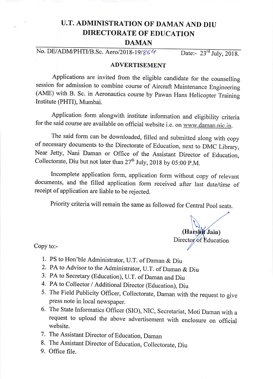## U.T. ADMINISTRATION OF DAMAN AND DIU DIRECTORATE OF EDUCATION DAMAN

No. DE/ADM/PHTI/B.Sc. Aero/2018-19/864 Date:- 23<sup>rd</sup> July, 2018.

### ADVERTISEMENT

Applications are invited from the eligible candidate for the counselling session for admission to combine course of Aircraft Maintenance Engineering (AME) with B. Sc. in Aeronautics course by Pawan Hans Helicopter Training Institute (PHTI), Mumbai.

Application form alongwith institute information and eligibility criteria for the said course are available on official website i.e. on www.daman.nic.in.

The said form can be downloaded, filled and submitted along with copy of necessary documents to the Directorate of Education, next to DMC Library, Near Jetty, Nani Daman or office of the Assistant Director of Education, Collectorate, Diu but not later than  $27<sup>th</sup>$  July, 2018 by 05:00 P.M.

Incomplete application form, application form without copy of relevant documents, and the filled application form received after last date/time of receipt of application are liable to be rejected.

Priority criteria will remain the same as followed for central pool seats.

(Harshit Jain) Director of Education

Copy to:-

- l. PS to Hon'ble Administrator, U.T. of Daman & Diu
- 2. PA to Advisor to the Administrator, U.T. of Daman & Diu
- 3. PA to Secretary (Education), U.T. of Daman and Diu
- 4. PA to Collector / Additional Director (Education), Diu
- 5. The Field Publicity officer, collectorate, Daman with the request to give press note in local newspaper.
- 6. The State Informatics officer (slo), MC, Secretariat, Moti Daman with <sup>a</sup> request to upload the above advertisement with enclosure on official website.
- 7. The Assistant Director of Education, Daman
- 8. The Assistant Director of Education, Collectorate, Diu
- 9. Office file.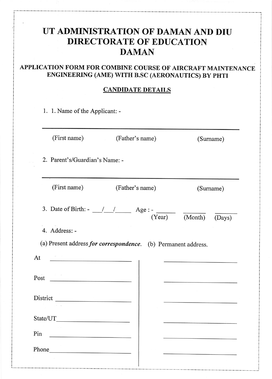# UT ADMINISTRATION OF DAMAN AND DIU DIRECTORATE OF EDUCATION DAMAN

## APPLICATION FORM FOR COMBINE COURSE OF AIRCRAFT MAINTENANCE ENGINEERING (AME) WITH B.SC (AERONAUTICS) BY PHTI

## CANDIDATE DETAILS

1. 1. Name of the Applicant: -

(First name)

(Father's name) (Sumame)

2. Parent's/Guardian's Name: -

(First name) (Father's name) (Sumame)

3. Date of Birth:  $/$   $/$   $/$  Age: (Year) (Month) (Days)

4. Address: -

(a) Present address  $for$  correspondence. (b) Permanent address.

At

State/UT

Pin <u> La provincia de la propincia de la provincia de la pro</u>

Phone

Post Post

District